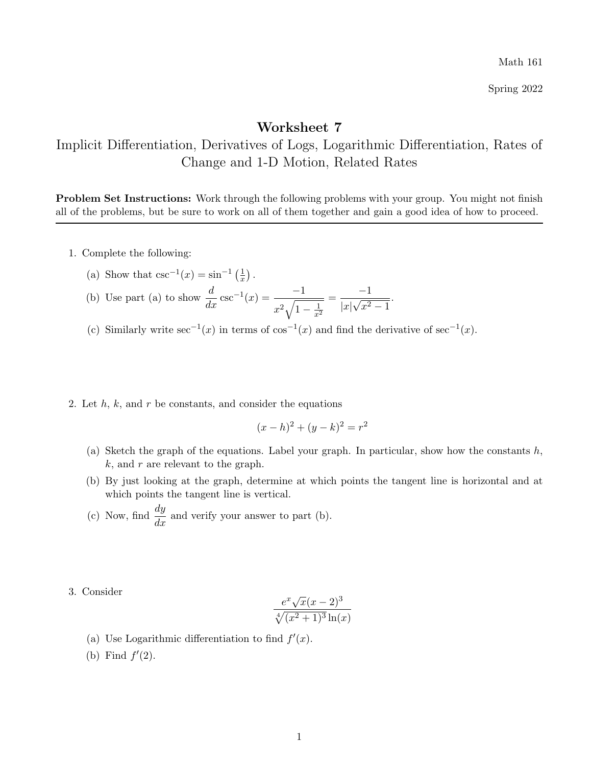Math 161

Spring 2022

## Worksheet 7

Implicit Differentiation, Derivatives of Logs, Logarithmic Differentiation, Rates of Change and 1-D Motion, Related Rates

Problem Set Instructions: Work through the following problems with your group. You might not finish all of the problems, but be sure to work on all of them together and gain a good idea of how to proceed.

- 1. Complete the following:
	- (a) Show that  $\csc^{-1}(x) = \sin^{-1}\left(\frac{1}{x}\right)$  $\frac{1}{x}$ .
	- (b) Use part (a) to show  $\frac{d}{dx}\csc^{-1}(x) = \frac{-1}{x^2\sqrt{1-x^2}}$  $x^2\sqrt{1-\frac{1}{x^2}}$  $=\frac{-1}{\sqrt{2}}$  $|x|$ √  $x^2-1$ .
	- (c) Similarly write  $\sec^{-1}(x)$  in terms of  $\cos^{-1}(x)$  and find the derivative of  $\sec^{-1}(x)$ .
- 2. Let  $h, k$ , and  $r$  be constants, and consider the equations

$$
(x-h)^2 + (y-k)^2 = r^2
$$

- (a) Sketch the graph of the equations. Label your graph. In particular, show how the constants  $h$ ,  $k$ , and r are relevant to the graph.
- (b) By just looking at the graph, determine at which points the tangent line is horizontal and at which points the tangent line is vertical.
- (c) Now, find  $\frac{dy}{dx}$  and verify your answer to part (b).
- 3. Consider

$$
\frac{e^x \sqrt{x}(x-2)^3}{\sqrt[4]{(x^2+1)^3} \ln(x)}
$$

- (a) Use Logarithmic differentiation to find  $f'(x)$ .
- (b) Find  $f'(2)$ .